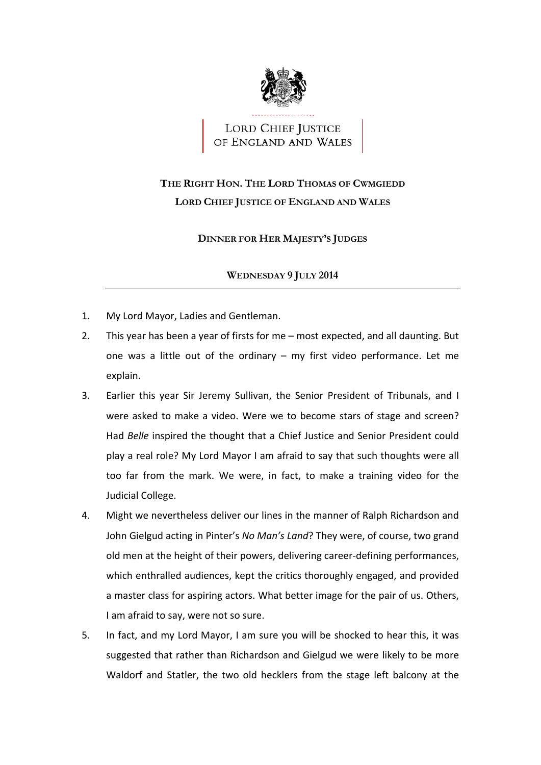

LORD CHIEF JUSTICE<br>OF ENGLAND AND WALES

## **THE RIGHT HON. THE LORD THOMAS OF CWMGIEDD LORD CHIEF JUSTICE OF ENGLAND AND WALES**

## **DINNER FOR HER MAJESTY'S JUDGES**

## **WEDNESDAY 9 JULY 2014**

- 1. My Lord Mayor, Ladies and Gentleman.
- 2. This year has been a year of firsts for me most expected, and all daunting. But one was a little out of the ordinary – my first video performance. Let me explain.
- 3. Earlier this year Sir Jeremy Sullivan, the Senior President of Tribunals, and I were asked to make a video. Were we to become stars of stage and screen? Had *Belle* inspired the thought that a Chief Justice and Senior President could play a real role? My Lord Mayor I am afraid to say that such thoughts were all too far from the mark. We were, in fact, to make a training video for the Judicial College.
- 4. Might we nevertheless deliver our lines in the manner of Ralph Richardson and  John Gielgud acting in Pinter's *No Man's Land*? They were, of course, two grand old men at the height of their powers, delivering career‐defining performances, which enthralled audiences, kept the critics thoroughly engaged, and provided a master class for aspiring actors. What better image for the pair of us. Others, I am afraid to say, were not so sure.
- 5. In fact, and my Lord Mayor, I am sure you will be shocked to hear this, it was suggested that rather than Richardson and Gielgud we were likely to be more Waldorf and Statler, the two old hecklers from the stage left balcony at the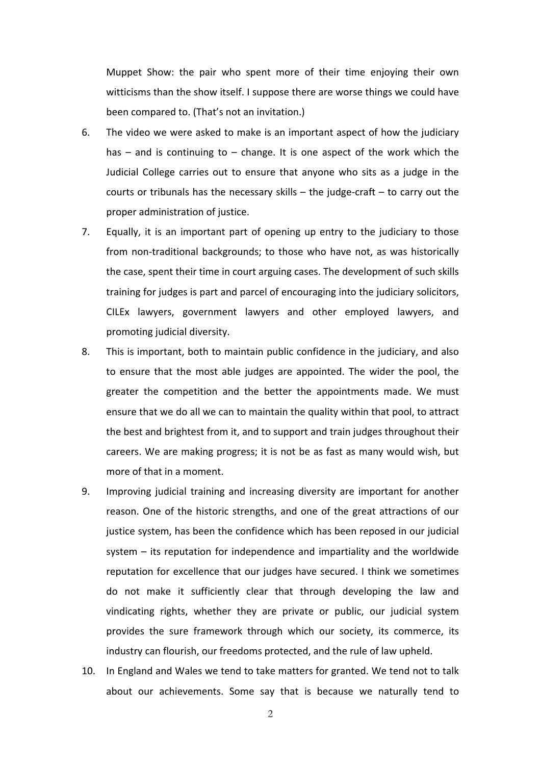Muppet Show: the pair who spent more of their time enjoying their own witticisms than the show itself. I suppose there are worse things we could have been compared to. (That's not an invitation.)

- 6. The video we were asked to make is an important aspect of how the judiciary has – and is continuing to – change. It is one aspect of the work which the Judicial College carries out to ensure that anyone who sits as a judge in the courts or tribunals has the necessary skills – the judge‐craft – to carry out the proper administration of justice.
- 7. Equally, it is an important part of opening up entry to the judiciary to those from non-traditional backgrounds; to those who have not, as was historically the case, spent their time in court arguing cases. The development of such skills training for judges is part and parcel of encouraging into the judiciary solicitors, CILEx lawyers, government lawyers and other employed lawyers, and promoting judicial diversity.
- 8. This is important, both to maintain public confidence in the judiciary, and also to ensure that the most able judges are appointed. The wider the pool, the greater the competition and the better the appointments made. We must ensure that we do all we can to maintain the quality within that pool, to attract the best and brightest from it, and to support and train judges throughout their careers. We are making progress; it is not be as fast as many would wish, but more of that in a moment.
- 9. Improving judicial training and increasing diversity are important for another reason. One of the historic strengths, and one of the great attractions of our justice system, has been the confidence which has been reposed in our judicial system – its reputation for independence and impartiality and the worldwide reputation for excellence that our judges have secured. I think we sometimes do not make it sufficiently clear that through developing the law and vindicating rights, whether they are private or public, our judicial system provides the sure framework through which our society, its commerce, its industry can flourish, our freedoms protected, and the rule of law upheld.
- 10. In England and Wales we tend to take matters for granted. We tend not to talk about our achievements. Some say that is because we naturally tend to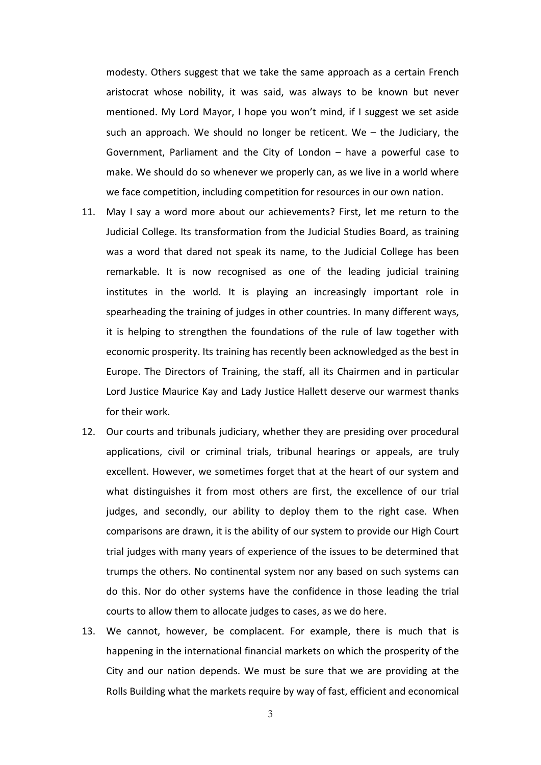modesty. Others suggest that we take the same approach as a certain French aristocrat whose nobility, it was said, was always to be known but never mentioned. My Lord Mayor, I hope you won't mind, if I suggest we set aside such an approach. We should no longer be reticent. We – the Judiciary, the Government, Parliament and the City of London – have a powerful case to make. We should do so whenever we properly can, as we live in a world where we face competition, including competition for resources in our own nation.

- 11. May I say a word more about our achievements? First, let me return to the Judicial College. Its transformation from the Judicial Studies Board, as training was a word that dared not speak its name, to the Judicial College has been remarkable. It is now recognised as one of the leading judicial training institutes in the world. It is playing an increasingly important role in spearheading the training of judges in other countries. In many different ways, it is helping to strengthen the foundations of the rule of law together with economic prosperity. Its training has recently been acknowledged as the best in Europe. The Directors of Training, the staff, all its Chairmen and in particular Lord Justice Maurice Kay and Lady Justice Hallett deserve our warmest thanks for their work.
- 12. Our courts and tribunals judiciary, whether they are presiding over procedural applications, civil or criminal trials, tribunal hearings or appeals, are truly excellent. However, we sometimes forget that at the heart of our system and what distinguishes it from most others are first, the excellence of our trial judges, and secondly, our ability to deploy them to the right case. When comparisons are drawn, it is the ability of our system to provide our High Court trial judges with many years of experience of the issues to be determined that trumps the others. No continental system nor any based on such systems can do this. Nor do other systems have the confidence in those leading the trial courts to allow them to allocate judges to cases, as we do here.
- 13. We cannot, however, be complacent. For example, there is much that is happening in the international financial markets on which the prosperity of the City and our nation depends. We must be sure that we are providing at the Rolls Building what the markets require by way of fast, efficient and economical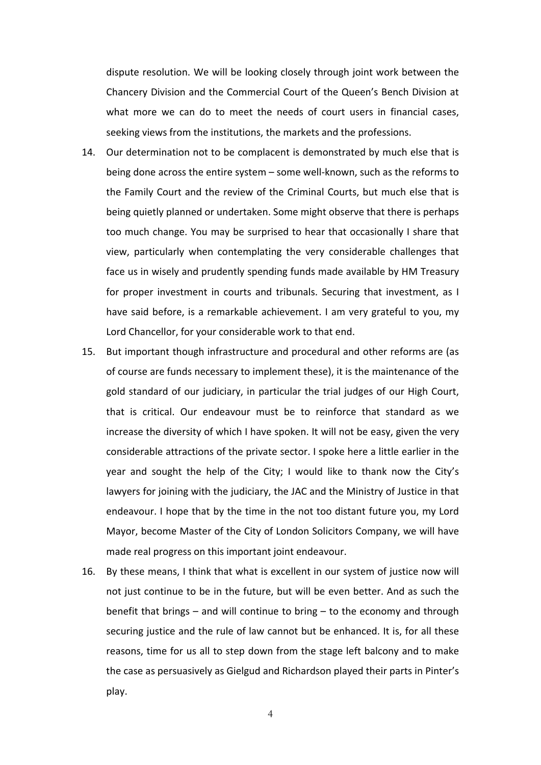dispute resolution. We will be looking closely through joint work between the Chancery Division and the Commercial Court of the Queen's Bench Division at what more we can do to meet the needs of court users in financial cases, seeking views from the institutions, the markets and the professions.

- 14. Our determination not to be complacent is demonstrated by much else that is being done across the entire system – some well-known, such as the reforms to the Family Court and the review of the Criminal Courts, but much else that is being quietly planned or undertaken. Some might observe that there is perhaps too much change. You may be surprised to hear that occasionally I share that view, particularly when contemplating the very considerable challenges that face us in wisely and prudently spending funds made available by HM Treasury for proper investment in courts and tribunals. Securing that investment, as I have said before, is a remarkable achievement. I am very grateful to you, my Lord Chancellor, for your considerable work to that end.
- 15. But important though infrastructure and procedural and other reforms are (as of course are funds necessary to implement these), it is the maintenance of the gold standard of our judiciary, in particular the trial judges of our High Court, that is critical. Our endeavour must be to reinforce that standard as we increase the diversity of which I have spoken. It will not be easy, given the very considerable attractions of the private sector. I spoke here a little earlier in the year and sought the help of the City; I would like to thank now the City's lawyers for joining with the judiciary, the JAC and the Ministry of Justice in that endeavour. I hope that by the time in the not too distant future you, my Lord Mayor, become Master of the City of London Solicitors Company, we will have made real progress on this important joint endeavour.
- 16. By these means, I think that what is excellent in our system of justice now will not just continue to be in the future, but will be even better. And as such the benefit that brings – and will continue to bring – to the economy and through securing justice and the rule of law cannot but be enhanced. It is, for all these reasons, time for us all to step down from the stage left balcony and to make the case as persuasively as Gielgud and Richardson played their parts in Pinter's play.